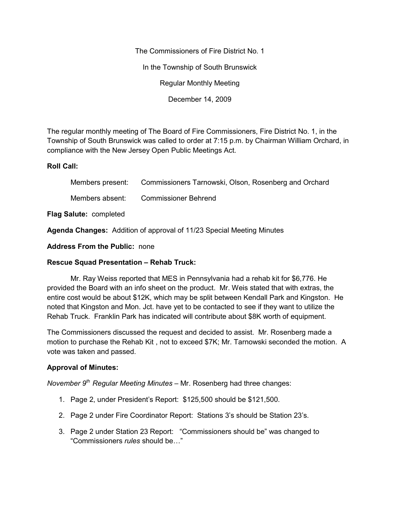The Commissioners of Fire District No. 1

In the Township of South Brunswick

Regular Monthly Meeting

December 14, 2009

The regular monthly meeting of The Board of Fire Commissioners, Fire District No. 1, in the Township of South Brunswick was called to order at 7:15 p.m. by Chairman William Orchard, in compliance with the New Jersey Open Public Meetings Act.

### **Roll Call:**

|                 | Members present: Commissioners Tarnowski, Olson, Rosenberg and Orchard |
|-----------------|------------------------------------------------------------------------|
| Members absent: | <b>Commissioner Behrend</b>                                            |
|                 |                                                                        |

**Flag Salute:** completed

**Agenda Changes:** Addition of approval of 11/23 Special Meeting Minutes

**Address From the Public:** none

## **Rescue Squad Presentation – Rehab Truck:**

Mr. Ray Weiss reported that MES in Pennsylvania had a rehab kit for \$6,776. He provided the Board with an info sheet on the product. Mr. Weis stated that with extras, the entire cost would be about \$12K, which may be split between Kendall Park and Kingston. He noted that Kingston and Mon. Jct. have yet to be contacted to see if they want to utilize the Rehab Truck. Franklin Park has indicated will contribute about \$8K worth of equipment.

The Commissioners discussed the request and decided to assist. Mr. Rosenberg made a motion to purchase the Rehab Kit , not to exceed \$7K; Mr. Tarnowski seconded the motion. A vote was taken and passed.

# **Approval of Minutes:**

*November 9th Regular Meeting Minutes –* Mr. Rosenberg had three changes:

- 1. Page 2, under President's Report: \$125,500 should be \$121,500.
- 2. Page 2 under Fire Coordinator Report: Stations 3's should be Station 23's.
- 3. Page 2 under Station 23 Report: "Commissioners should be" was changed to "Commissioners *rules* should be…"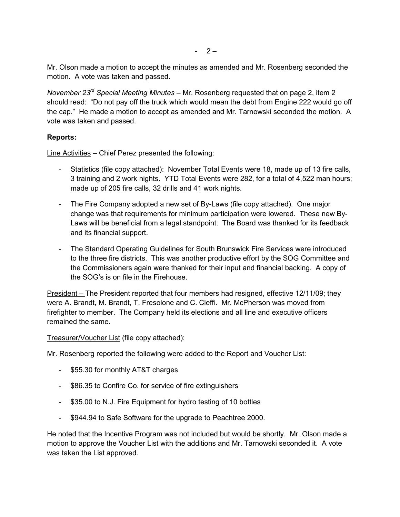Mr. Olson made a motion to accept the minutes as amended and Mr. Rosenberg seconded the motion. A vote was taken and passed.

*November 23rd Special Meeting Minutes –* Mr. Rosenberg requested that on page 2, item 2 should read: "Do not pay off the truck which would mean the debt from Engine 222 would go off the cap." He made a motion to accept as amended and Mr. Tarnowski seconded the motion. A vote was taken and passed.

## **Reports:**

Line Activities – Chief Perez presented the following:

- Statistics (file copy attached): November Total Events were 18, made up of 13 fire calls, 3 training and 2 work nights. YTD Total Events were 282, for a total of 4,522 man hours; made up of 205 fire calls, 32 drills and 41 work nights.
- The Fire Company adopted a new set of By-Laws (file copy attached). One major change was that requirements for minimum participation were lowered. These new By- Laws will be beneficial from a legal standpoint. The Board was thanked for its feedback and its financial support.
- The Standard Operating Guidelines for South Brunswick Fire Services were introduced to the three fire districts. This was another productive effort by the SOG Committee and the Commissioners again were thanked for their input and financial backing. A copy of the SOG's is on file in the Firehouse.

President – The President reported that four members had resigned, effective 12/11/09; they were A. Brandt, M. Brandt, T. Fresolone and C. Cleffi. Mr. McPherson was moved from firefighter to member. The Company held its elections and all line and executive officers remained the same.

Treasurer/Voucher List (file copy attached):

Mr. Rosenberg reported the following were added to the Report and Voucher List:

- \$55.30 for monthly AT&T charges
- \$86.35 to Confire Co. for service of fire extinguishers
- \$35.00 to N.J. Fire Equipment for hydro testing of 10 bottles
- \$944.94 to Safe Software for the upgrade to Peachtree 2000.

He noted that the Incentive Program was not included but would be shortly. Mr. Olson made a motion to approve the Voucher List with the additions and Mr. Tarnowski seconded it. A vote was taken the List approved.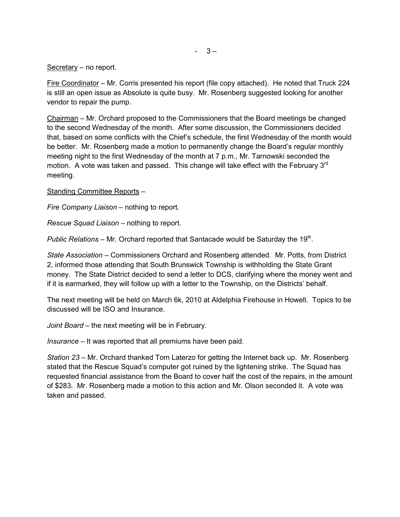#### Secretary – no report.

Fire Coordinator – Mr. Corris presented his report (file copy attached). He noted that Truck 224 is still an open issue as Absolute is quite busy. Mr. Rosenberg suggested looking for another vendor to repair the pump.

Chairman – Mr. Orchard proposed to the Commissioners that the Board meetings be changed to the second Wednesday of the month. After some discussion, the Commissioners decided that, based on some conflicts with the Chief's schedule, the first Wednesday of the month would be better. Mr. Rosenberg made a motion to permanently change the Board's regular monthly meeting night to the first Wednesday of the month at 7 p.m., Mr. Tarnowski seconded the motion. A vote was taken and passed. This change will take effect with the February 3<sup>rd</sup> meeting.

Standing Committee Reports –

*Fire Company Liaison –* nothing to report.

*Rescue Squad Liaison –* nothing to report.

Public Relations – Mr. Orchard reported that Santacade would be Saturday the 19<sup>th</sup>.

*State Association –* Commissioners Orchard and Rosenberg attended. Mr. Potts, from District 2, informed those attending that South Brunswick Township is withholding the State Grant money. The State District decided to send a letter to DCS, clarifying where the money went and if it is earmarked, they will follow up with a letter to the Township, on the Districts' behalf.

The next meeting will be held on March 6k, 2010 at Aldelphia Firehouse in Howell. Topics to be discussed will be ISO and Insurance.

*Joint Board –* the next meeting will be in February.

*Insurance –* It was reported that all premiums have been paid.

*Station 23 –* Mr. Orchard thanked Tom Laterzo for getting the Internet back up. Mr. Rosenberg stated that the Rescue Squad's computer got ruined by the lightening strike. The Squad has requested financial assistance from the Board to cover half the cost of the repairs, in the amount of \$283. Mr. Rosenberg made a motion to this action and Mr. Olson seconded it. A vote was taken and passed.